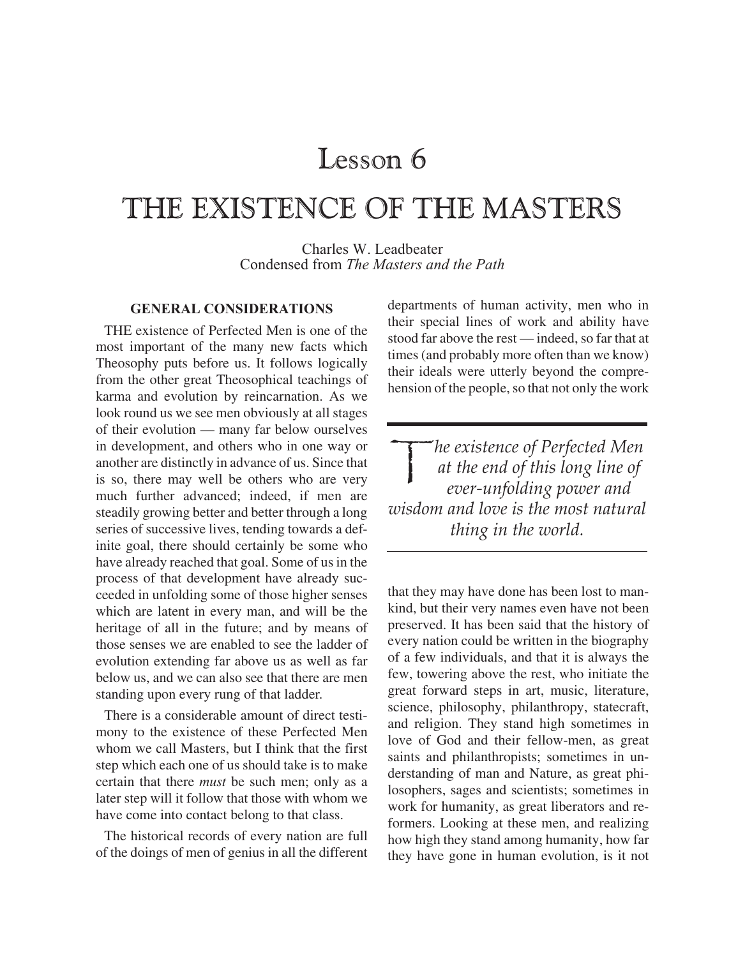# Lesson 6

# THE EXISTENCE OF THE MASTERS

Charles W. Leadbeater Condensed from *The Masters and the Path*

# **GENERAL CONSIDERATIONS**

THE existence of Perfected Men is one of the most important of the many new facts which The osophy puts before us. It follows logically from the other great Theosophical teachings of karma and evolution by reincarnation. As we look round us we see men obviously at all stages of their evolution — many far below ourselves in development, and others who in one way or another are distinctly in advance of us. Since that is so, there may well be others who are very much further advanced; indeed, if men are steadily growing better and better through a long series of successive lives, tending towards a definite goal, there should certainly be some who have already reached that goal. Some of us in the process of that development have already succeeded in unfolding some of those higher senses which are latent in every man, and will be the heritage of all in the future; and by means of those senses we are enabled to see the ladder of evolution extending far above us as well as far below us, and we can also see that there are men standing upon every rung of that ladder.

There is a considerable amount of direct testimony to the existence of these Perfected Men whom we call Masters, but I think that the first step which each one of us should take is to make certain that there *must* be such men; only as a later step will it follow that those with whom we have come into contact belong to that class.

The historical records of every nation are full of the doings of men of genius in all the different departments of human activity, men who in their special lines of work and ability have stood far above the rest — indeed, so far that at times (and probably more often than we know) their ideals were utterly beyond the comprehen sion of the people, so that not only the work

 $\begin{array}{c} \hline \end{array}$ *he ex is tence of Per fected Men at the end of this long line of ever-un fold ing power and wis dom and love is the most nat u ral thing in the world.*

that they may have done has been lost to mankind, but their very names even have not been pre served. It has been said that the history of every nation could be written in the biography of a few individuals, and that it is always the few, towering above the rest, who initiate the great forward steps in art, music, literature, science, philosophy, philanthropy, statecraft, and religion. They stand high sometimes in love of God and their fellow-men, as great saints and philanthropists; sometimes in understanding of man and Nature, as great philosophers, sages and scientists; sometimes in work for humanity, as great liberators and reformers. Looking at these men, and realizing how high they stand among humanity, how far they have gone in human evolution, is it not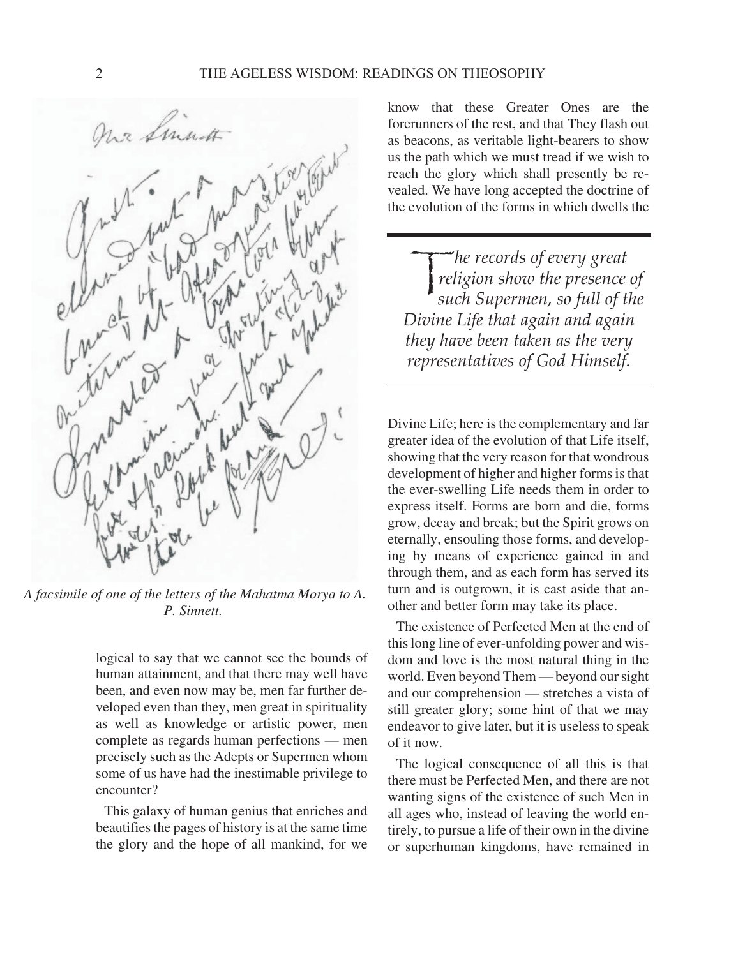

*A facsimile of one of the letters of the Mahatma Morya to A. P. Sinnett.* 

logical to say that we cannot see the bounds of human attainment, and that there may well have been, and even now may be, men far further developed even than they, men great in spirituality as well as knowledge or artistic power, men complete as regards human perfections — men precisely such as the Adepts or Supermen whom some of us have had the inestimable privilege to encounter?

This galaxy of human genius that enriches and beau tifies the pages of history is at the same time the glory and the hope of all mankind, for we know that these Greater Ones are the fore runners of the rest, and that They flash out as beacons, as veritable light-bearers to show us the path which we must tread if we wish to reach the glory which shall presently be revealed. We have long accepted the doctrine of the evolution of the forms in which dwells the

*he records of every great*<br>*religion show the presence*<br>*such Sunermen so full of t re li gion show the pres ence of such Su per men, so full of the Di vine Life that again and again they have been taken as the very representatives of God Himself.* 

Divine Life; here is the complementary and far greater idea of the evolution of that Life itself, showing that the very reason for that wondrous development of higher and higher forms is that the ever-swelling Life needs them in order to ex press it self. Forms are born and die, forms grow, decay and break; but the Spirit grows on eternally, ensouling those forms, and developing by means of experience gained in and through them, and as each form has served its turn and is outgrown, it is cast aside that another and better form may take its place.

The existence of Perfected Men at the end of this long line of ever-unfolding power and wis dom and love is the most natural thing in the world. Even beyond Them — beyond our sight and our comprehension — stretches a vista of still greater glory; some hint of that we may endeavor to give later, but it is useless to speak of it now.

The logical consequence of all this is that there must be Perfected Men, and there are not wanting signs of the existence of such Men in all ages who, instead of leaving the world entirely, to pursue a life of their own in the divine or superhuman kingdoms, have remained in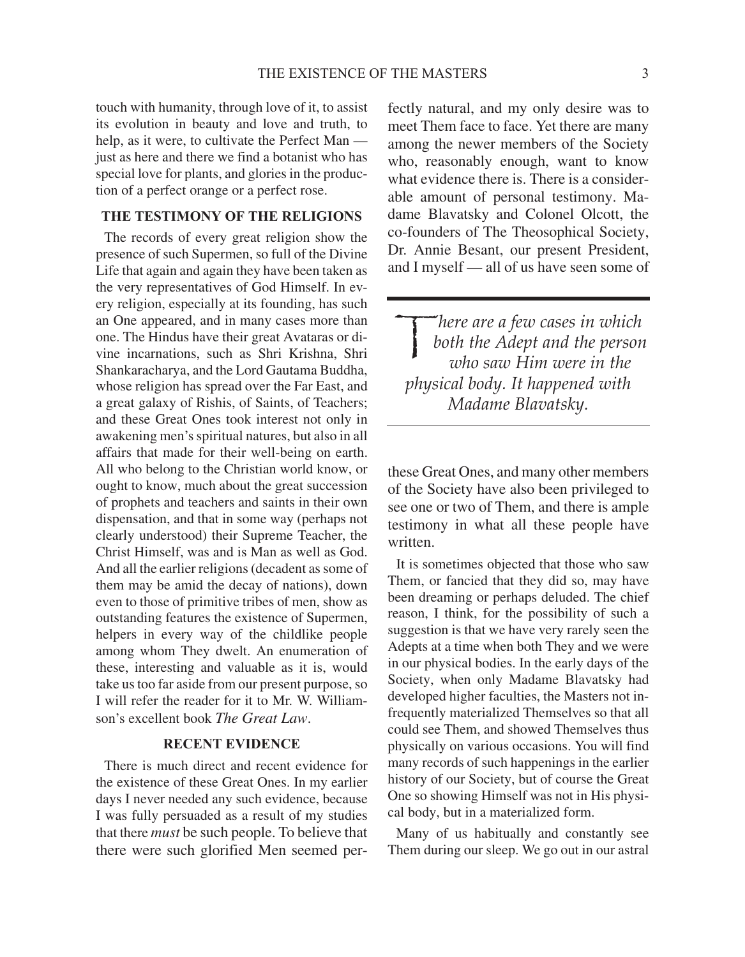touch with humanity, through love of it, to assist its evolution in beauty and love and truth, to help, as it were, to cultivate the Perfect Man  $$ just as here and there we find a botanist who has special love for plants, and glories in the production of a perfect orange or a perfect rose.

### **THE TESTIMONY OF THE RELIGIONS**

The records of every great religion show the presence of such Supermen, so full of the Divine Life that again and again they have been taken as the very representatives of God Himself. In every religion, especially at its founding, has such an One appeared, and in many cases more than one. The Hindus have their great Avataras or divine incarnations, such as Shri Krishna, Shri Shankaracharya, and the Lord Gautama Buddha, whose religion has spread over the Far East, and a great galaxy of Rishis, of Saints, of Teachers; and these Great Ones took interest not only in awakening men's spiritual natures, but also in all affairs that made for their well-being on earth. All who belong to the Christian world know, or ought to know, much about the great succession of prophets and teachers and saints in their own dispensation, and that in some way (perhaps not clearly understood) their Supreme Teacher, the Christ Him self, was and is Man as well as God. And all the earlier religions (decadent as some of them may be amid the decay of nations), down even to those of primitive tribes of men, show as out standing features the existence of Supermen, helpers in every way of the child like people among whom They dwelt. An enumeration of these, interesting and valuable as it is, would take us too far aside from our present purpose, so I will refer the reader for it to Mr. W. Williamson's ex cel lent book *The Great Law*.

## **RECENT EVIDENCE**

There is much direct and recent evidence for the existence of these Great Ones. In my earlier days I never needed any such evidence, because I was fully persuaded as a result of my studies that there *must* be such people. To believe that there were such glorified Men seemed perfectly natural, and my only desire was to meet Them face to face. Yet there are many among the newer members of the Society who, reasonably enough, want to know what evidence there is. There is a considerable amount of personal testimony. Madame Blavatsky and Colonel Olcott, the co-founders of The Theosophical Society, Dr. Annie Besant, our present President, and I my self — all of us have seen some of

 $\begin{array}{c} \hline \end{array}$ *here are a few cases in which* both the Adept and the person *who saw Him were in the phys i cal body. It hap pened with Ma dame Blavatsky.*

these Great Ones, and many other members of the Society have also been privileged to see one or two of Them, and there is ample testimony in what all these people have written.

It is sometimes objected that those who saw Them, or fancied that they did so, may have been dreaming or perhaps deluded. The chief reason, I think, for the possibility of such a suggestion is that we have very rarely seen the Adepts at a time when both They and we were in our physical bodies. In the early days of the Society, when only Madame Blavatsky had developed higher faculties, the Masters not infrequently materialized Themselves so that all could see Them, and showed Themselves thus physically on various occasions. You will find many records of such happenings in the earlier history of our Society, but of course the Great One so showing Himself was not in His physical body, but in a materialized form.

Many of us habitually and constantly see Them during our sleep. We go out in our astral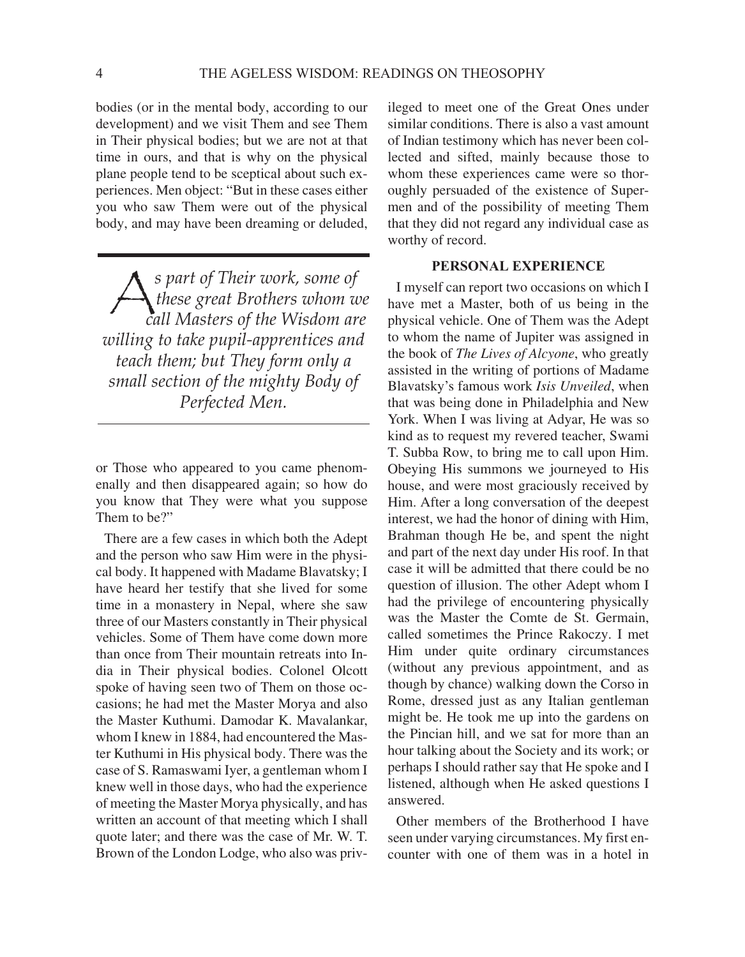bodies (or in the mental body, according to our development) and we visit Them and see Them in Their physical bodies; but we are not at that time in ours, and that is why on the physical plane people tend to be sceptical about such experiences. Men object: "But in these cases either you who saw Them were out of the physical body, and may have been dreaming or deluded,

*s part of Their work, some of*<br>*these great Brothers whom u*<br>*call Masters of the Wisdom ar these great Brothers whom we call Mas ters of the Wis dom are will ing to take pu pil-apprentices and teach them; but They form only a small sec tion of the mighty Body of Per fected Men.*

or Those who appeared to you came phenomenally and then disappeared again; so how do you know that They were what you suppose Them to be?"

There are a few cases in which both the Adept and the person who saw Him were in the physical body. It happened with Madame Blavatsky; I have heard her testify that she lived for some time in a monastery in Nepal, where she saw three of our Masters constantly in Their physical vehicles. Some of Them have come down more than once from Their mountain retreats into India in Their physical bodies. Colonel Olcott spoke of having seen two of Them on those occasions; he had met the Master Morya and also the Master Kuthumi. Damodar K. Mavalankar, whom I knew in 1884, had encountered the Master Kuthumi in His physical body. There was the case of S. Ramaswami Iyer, a gentleman whom I knew well in those days, who had the experience of meeting the Master Morya physically, and has written an account of that meeting which I shall quote later; and there was the case of Mr. W. T. Brown of the London Lodge, who also was privileged to meet one of the Great Ones under similar conditions. There is also a vast amount of Indian testimony which has never been collected and sifted, mainly because those to whom these experiences came were so thoroughly persuaded of the existence of Supermen and of the possibility of meeting Them that they did not regard any individual case as worthy of record.

### **PERSONAL EXPERIENCE**

I myself can report two occasions on which I have met a Master, both of us being in the physical vehicle. One of Them was the Adept to whom the name of Jupiter was assigned in the book of *The Lives of Alcyone*, who greatly assisted in the writing of portions of Madame Blavatsky's famous work *Isis Unveiled*, when that was being done in Philadelphia and New York. When I was living at Adyar, He was so kind as to request my revered teacher, Swami T. Subba Row, to bring me to call upon Him. Obeying His summons we journeyed to His house, and were most graciously received by Him. After a long conversation of the deepest interest, we had the honor of dining with Him, Brahman though He be, and spent the night and part of the next day under His roof. In that case it will be admitted that there could be no question of illusion. The other Adept whom I had the privilege of encountering physically was the Master the Comte de St. Germain, called sometimes the Prince Rakoczy. I met Him under quite ordinary circum stances (without any previous appointment, and as though by chance) walking down the Corso in Rome, dressed just as any Italian gentleman might be. He took me up into the gardens on the Pincian hill, and we sat for more than an hour talking about the Society and its work; or perhaps I should rather say that He spoke and I listened, although when He asked questions I answered.

Other members of the Brotherhood I have seen under varying circum stances. My first encounter with one of them was in a hotel in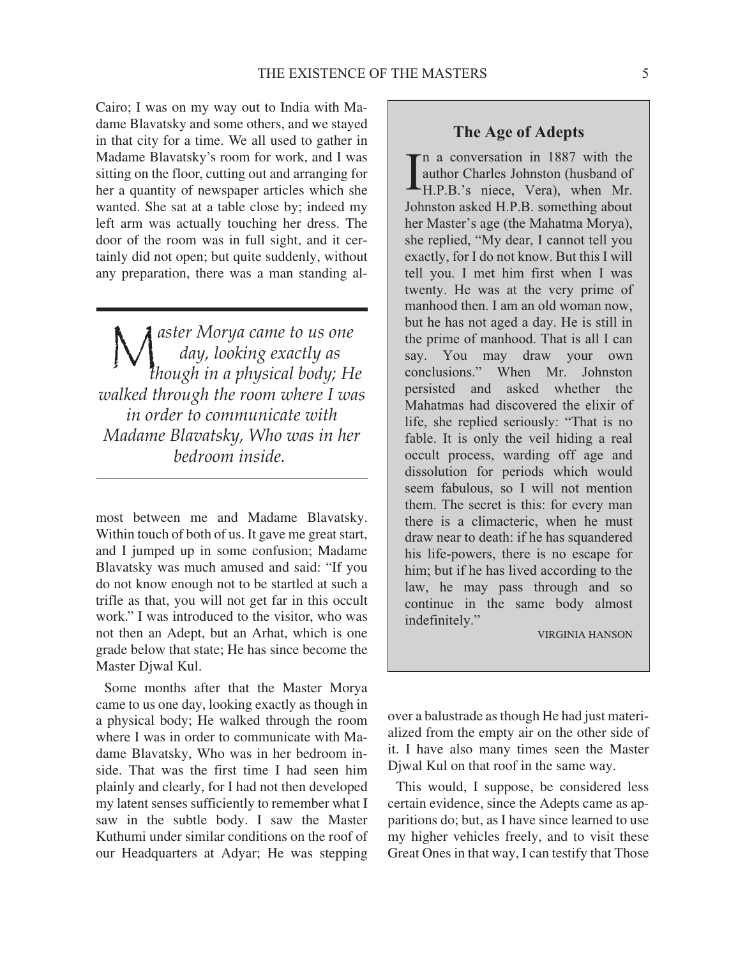Cairo; I was on my way out to India with Madame Blavatsky and some others, and we stayed in that city for a time. We all used to gather in Madame Blavatsky's room for work, and I was sitting on the floor, cutting out and arranging for her a quantity of newspaper articles which she wanted. She sat at a table close by; indeed my left arm was actually touching her dress. The door of the room was in full sight, and it certainly did not open; but quite suddenly, without any preparation, there was a man standing al-

*M aster Morya came to us one<br>day, looking exactly as<br>though in a physical body: H day, look ing ex actly as though in a phys i cal body; He walked through the room where I was in or der to com mu ni cate with Ma dame Blavatsky, Who was in her bed room in side.* 

most between me and Madame Blavatsky. Within touch of both of us. It gave me great start, and I jumped up in some confusion; Madame Blavatsky was much amused and said: "If you do not know enough not to be startled at such a trifle as that, you will not get far in this occult work." I was introduced to the visitor, who was not then an Adept, but an Arhat, which is one grade below that state; He has since become the Master Diwal Kul.

Some months after that the Master Morya came to us one day, looking exactly as though in a physical body; He walked through the room where I was in order to communicate with Madame Blavatsky, Who was in her bedroom inside. That was the first time I had seen him plainly and clearly, for I had not then developed my latent senses sufficiently to remember what I saw in the subtle body. I saw the Master Kuthumi under similar conditions on the roof of our Headquarters at Adyar; He was stepping

## **The Age of Adepts**

In a conversation in 1887 with the<br>author Charles Johnston (husband of<br>H.P.B.'s niece, Vera), when Mr.  $\blacksquare$  n a conversation in 1887 with the author Charles Johnston (husband of Johnston asked H.P.B. something about her Master's age (the Mahatma Morya), she replied, "My dear, I cannot tell you ex actly, for I do not know. But this I will tell you. I met him first when I was twenty. He was at the very prime of man hood then. I am an old woman now, but he has not aged a day. He is still in the prime of manhood. That is all I can say. You may draw your own conclusions." When Mr. Johnston persisted and asked whether the Mahatmas had discovered the elixir of life, she replied seriously: "That is no fable. It is only the veil hiding a real occult process, warding off age and dissolution for periods which would seem fabulous, so I will not mention them. The secret is this: for every man there is a climacteric, when he must draw near to death: if he has squandered his life-powers, there is no escape for him; but if he has lived according to the law, he may pass through and so continue in the same body almost indefinitely."

VIR GINIA HANSON

over a balustrade as though He had just materialized from the empty air on the other side of it. I have also many times seen the Master Djwal Kul on that roof in the same way.

This would, I suppose, be considered less certain evidence, since the Adepts came as apparitions do; but, as I have since learned to use my higher vehicles freely, and to visit these Great Ones in that way, I can testify that Those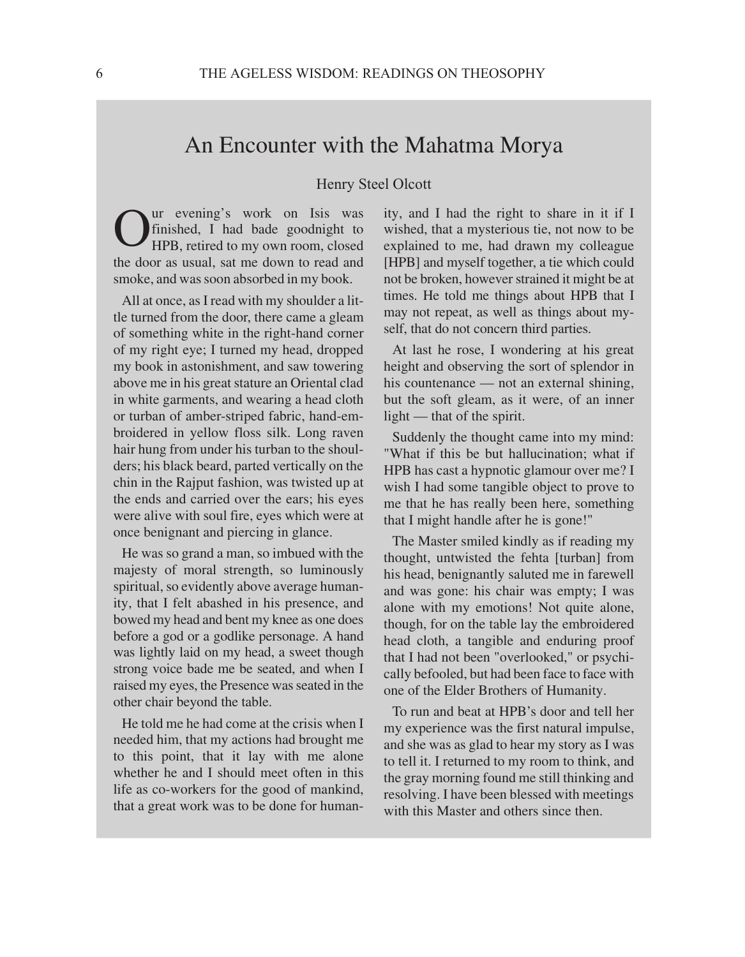# An Encounter with the Mahatma Morya

Henry Steel Olcott

O ur eve ning's work on Isis was finished, I had bade goodnight to HPB, retired to my own room, closed the door as usual, sat me down to read and smoke, and was soon absorbed in my book.

All at once, as I read with my shoulder a little turned from the door, there came a gleam of something white in the right-hand corner of my right eye; I turned my head, dropped my book in astonishment, and saw towering above me in his great stature an Oriental clad in white garments, and wearing a head cloth or turban of amber-striped fabric, hand-embroidered in yellow floss silk. Long raven hair hung from under his turban to the shoulders; his black beard, parted vertically on the chin in the Rajput fashion, was twisted up at the ends and carried over the ears; his eyes were alive with soul fire, eyes which were at once benignant and piercing in glance.

He was so grand a man, so im bued with the majesty of moral strength, so luminously spiritual, so evidently above average humanity, that I felt abashed in his presence, and bowed my head and bent my knee as one does before a god or a godlike personage. A hand was lightly laid on my head, a sweet though strong voice bade me be seated, and when I raised my eyes, the Presence was seated in the other chair beyond the table.

He told me he had come at the crisis when I needed him, that my actions had brought me to this point, that it lay with me alone whether he and I should meet often in this life as co-workers for the good of mankind, that a great work was to be done for humanity, and I had the right to share in it if I wished, that a mysterious tie, not now to be explained to me, had drawn my colleague [HPB] and myself together, a tie which could not be broken, however strained it might be at times. He told me things about HPB that I may not repeat, as well as things about myself, that do not concern third parties.

At last he rose, I wondering at his great height and observing the sort of splendor in his countenance — not an external shining, but the soft gleam, as it were, of an inner light — that of the spirit.

Suddenly the thought came into my mind: "What if this be but hallucination; what if HPB has cast a hypnotic glamour over me? I wish I had some tangible object to prove to me that he has really been here, something that I might handle after he is gone!"

The Master smiled kindly as if reading my thought, untwisted the fehta [turban] from his head, benignantly saluted me in farewell and was gone: his chair was empty; I was alone with my emotions! Not quite alone, though, for on the table lay the embroidered head cloth, a tangible and enduring proof that I had not been "overlooked," or psychically be fooled, but had been face to face with one of the Elder Brothers of Humanity.

To run and beat at HPB's door and tell her my experience was the first natural impulse, and she was as glad to hear my story as I was to tell it. I returned to my room to think, and the gray morning found me still thinking and resolving. I have been blessed with meetings with this Master and others since then.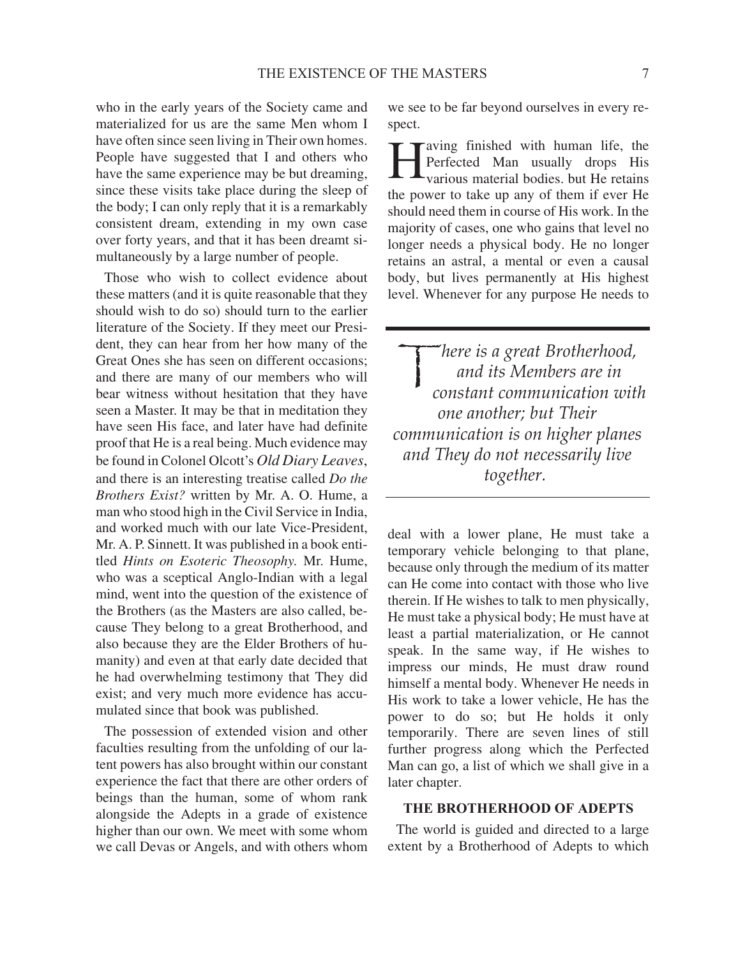who in the early years of the Society came and materialized for us are the same Men whom I have often since seen living in Their own homes. People have suggested that I and others who have the same experience may be but dreaming, since these visits take place during the sleep of the body; I can only reply that it is a remarkably consistent dream, extending in my own case over forty years, and that it has been dreamt simultaneously by a large number of people.

Those who wish to collect evidence about these matters (and it is quite reasonable that they should wish to do so) should turn to the earlier literature of the Society. If they meet our President, they can hear from her how many of the Great Ones she has seen on different occasions: and there are many of our members who will bear witness without hesitation that they have seen a Master. It may be that in meditation they have seen His face, and later have had definite proof that He is a real being. Much evidence may be found in Colonel Olcott's *Old Diary Leaves*, and there is an interesting treatise called *Do the Brothers Exist?* written by Mr. A. O. Hume, a man who stood high in the Civil Service in India, and worked much with our late Vice-President, Mr. A. P. Sinnett. It was published in a book entitled *Hints on Esoteric Theosophy*. Mr. Hume, who was a sceptical Anglo-Indian with a legal mind, went into the question of the existence of the Brothers (as the Masters are also called, because They belong to a great Brotherhood, and also because they are the Elder Brothers of humanity) and even at that early date decided that he had overwhelming testimony that They did exist; and very much more evidence has accumulated since that book was published.

The possession of extended vision and other faculties resulting from the unfolding of our latent powers has also brought within our constant experience the fact that there are other orders of beings than the human, some of whom rank along side the Adepts in a grade of existence higher than our own. We meet with some whom we call Devas or Angels, and with others whom we see to be far beyond ourselves in every respect.

H raving finished with human life, the Perfected Man usually drops His various material bodies. but He retains the power to take up any of them if ever He should need them in course of His work. In the majority of cases, one who gains that level no longer needs a physical body. He no longer retains an astral, a mental or even a causal body, but lives permanently at His highest level. Whenever for any purpose He needs to

 $\begin{array}{c} \hline \end{array}$ *here is a great Brotherhood, and its Mem bers are in con stant com mu ni ca tion with one an other; but Their com mu ni ca tion is on higher planes* and They do not necessarily live *to gether.* 

deal with a lower plane, He must take a temporary vehicle belonging to that plane, because only through the medium of its matter can He come into contact with those who live therein. If He wishes to talk to men physically, He must take a physical body; He must have at least a partial materialization, or He cannot speak. In the same way, if He wishes to impress our minds, He must draw round himself a mental body. Whenever He needs in His work to take a lower vehicle, He has the power to do so; but He holds it only temporarily. There are seven lines of still further progress along which the Perfected Man can go, a list of which we shall give in a later chapter.

### **THE BROTHERHOOD OF ADEPTS**

The world is guided and directed to a large extent by a Brotherhood of Adepts to which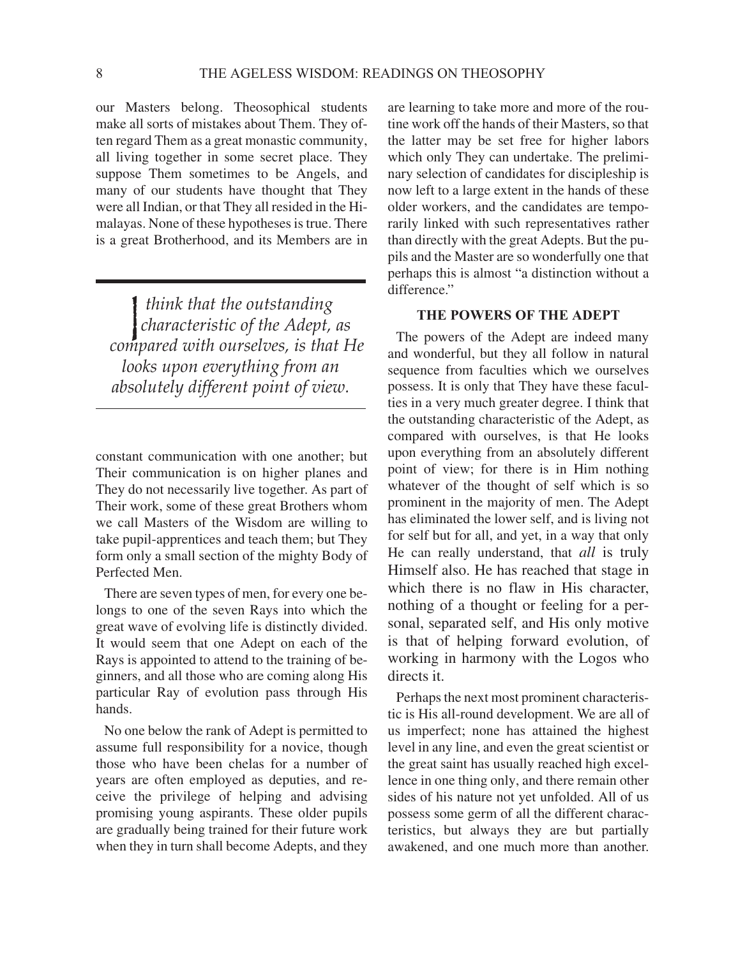our Masters belong. Theosophical students make all sorts of mistakes about Them. They often regard Them as a great monastic community, all living together in some secret place. They suppose Them sometimes to be Angels, and many of our students have thought that They were all Indian, or that They all resided in the Himalayas. None of these hypotheses is true. There is a great Brotherhood, and its Members are in

*think that the outstanding*<br>*characteristic of the Adept*,<br>*mared with ourselves is tha char ac ter is tic of the Ad ept, as com pared with our selves, is that He looks upon everything from an ab so lutely dif fer ent point of view.*

constant communication with one another; but Their communication is on higher planes and They do not necessarily live together. As part of Their work, some of these great Brothers whom we call Masters of the Wisdom are willing to take pupil-apprentices and teach them; but They form only a small section of the mighty Body of Perfected Men.

There are seven types of men, for every one belongs to one of the seven Rays into which the great wave of evolving life is distinctly divided. It would seem that one Adept on each of the Rays is appointed to attend to the training of begin ners, and all those who are coming along His particular Ray of evolution pass through His hands.

No one below the rank of Adept is permitted to assume full responsibility for a novice, though those who have been chelas for a number of years are often employed as deputies, and receive the privilege of helping and advising promising young aspirants. These older pupils are gradually being trained for their future work when they in turn shall become Adepts, and they

are learning to take more and more of the routine work off the hands of their Masters, so that the latter may be set free for higher labors which only They can undertake. The preliminary selection of candidates for discipleship is now left to a large ex tent in the hands of these older workers, and the candidates are temporarily linked with such representatives rather than directly with the great Adepts. But the pupils and the Master are so wonderfully one that perhaps this is almost "a distinction without a difference."

#### **THE POWERS OF THE ADEPT**

The powers of the Adept are indeed many and wonderful, but they all follow in natural sequence from faculties which we ourselves possess. It is only that They have these faculties in a very much greater degree. I think that the outstanding characteristic of the Adept, as com pared with our selves, is that He looks upon everything from an absolutely different point of view; for there is in Him nothing whatever of the thought of self which is so prominent in the majority of men. The Adept has eliminated the lower self, and is living not for self but for all, and yet, in a way that only He can really understand, that *all* is truly Him self also. He has reached that stage in which there is no flaw in His character, nothing of a thought or feeling for a personal, separated self, and His only motive is that of helping forward evolution, of working in harmony with the Logos who directs it.

Perhaps the next most prominent characteristic is His all-round development. We are all of us imperfect; none has attained the highest level in any line, and even the great scientist or the great saint has usually reached high excellence in one thing only, and there remain other sides of his nature not yet unfolded. All of us possess some germ of all the different characteristics, but always they are but partially awakened, and one much more than another.